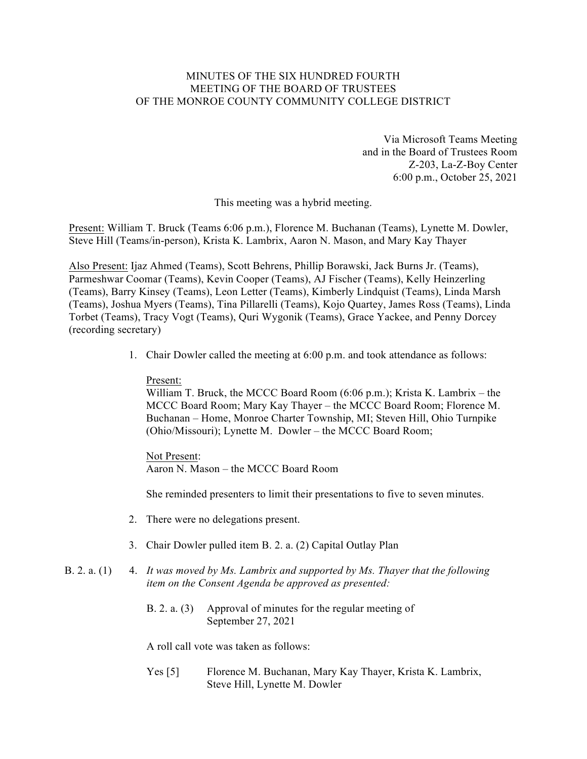# MINUTES OF THE SIX HUNDRED FOURTH MEETING OF THE BOARD OF TRUSTEES OF THE MONROE COUNTY COMMUNITY COLLEGE DISTRICT

Via Microsoft Teams Meeting and in the Board of Trustees Room Z-203, La-Z-Boy Center 6:00 p.m., October 25, 2021

This meeting was a hybrid meeting.

Present: William T. Bruck (Teams 6:06 p.m.), Florence M. Buchanan (Teams), Lynette M. Dowler, Steve Hill (Teams/in-person), Krista K. Lambrix, Aaron N. Mason, and Mary Kay Thayer

Also Present: Ijaz Ahmed (Teams), Scott Behrens, Phillip Borawski, Jack Burns Jr. (Teams), Parmeshwar Coomar (Teams), Kevin Cooper (Teams), AJ Fischer (Teams), Kelly Heinzerling (Teams), Barry Kinsey (Teams), Leon Letter (Teams), Kimberly Lindquist (Teams), Linda Marsh (Teams), Joshua Myers (Teams), Tina Pillarelli (Teams), Kojo Quartey, James Ross (Teams), Linda Torbet (Teams), Tracy Vogt (Teams), Quri Wygonik (Teams), Grace Yackee, and Penny Dorcey (recording secretary)

1. Chair Dowler called the meeting at 6:00 p.m. and took attendance as follows:

#### Present:

William T. Bruck, the MCCC Board Room (6:06 p.m.); Krista K. Lambrix – the MCCC Board Room; Mary Kay Thayer – the MCCC Board Room; Florence M. Buchanan – Home, Monroe Charter Township, MI; Steven Hill, Ohio Turnpike (Ohio/Missouri); Lynette M. Dowler – the MCCC Board Room;

### Not Present:

Aaron N. Mason – the MCCC Board Room

She reminded presenters to limit their presentations to five to seven minutes.

- 2. There were no delegations present.
- 3. Chair Dowler pulled item B. 2. a. (2) Capital Outlay Plan

# B. 2. a. (1) 4. *It was moved by Ms. Lambrix and supported by Ms. Thayer that the following item on the Consent Agenda be approved as presented:*

B. 2. a. (3) Approval of minutes for the regular meeting of September 27, 2021

A roll call vote was taken as follows:

Yes [5] Florence M. Buchanan, Mary Kay Thayer, Krista K. Lambrix, Steve Hill, Lynette M. Dowler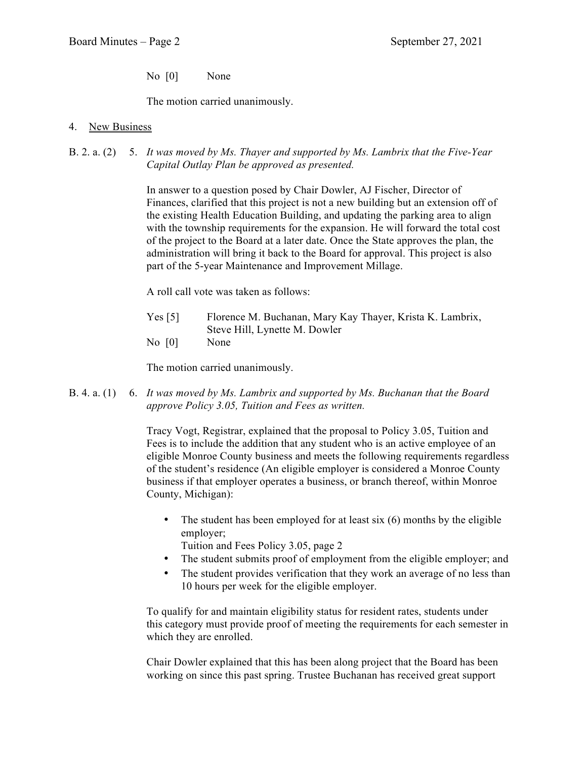No [0] None

The motion carried unanimously.

# 4. New Business

B. 2. a. (2) 5. *It was moved by Ms. Thayer and supported by Ms. Lambrix that the Five-Year Capital Outlay Plan be approved as presented.*

> In answer to a question posed by Chair Dowler, AJ Fischer, Director of Finances, clarified that this project is not a new building but an extension off of the existing Health Education Building, and updating the parking area to align with the township requirements for the expansion. He will forward the total cost of the project to the Board at a later date. Once the State approves the plan, the administration will bring it back to the Board for approval. This project is also part of the 5-year Maintenance and Improvement Millage.

A roll call vote was taken as follows:

- Yes [5] Florence M. Buchanan, Mary Kay Thayer, Krista K. Lambrix, Steve Hill, Lynette M. Dowler
- No [0] None

The motion carried unanimously.

B. 4. a. (1) 6. *It was moved by Ms. Lambrix and supported by Ms. Buchanan that the Board approve Policy 3.05, Tuition and Fees as written.*

> Tracy Vogt, Registrar, explained that the proposal to Policy 3.05, Tuition and Fees is to include the addition that any student who is an active employee of an eligible Monroe County business and meets the following requirements regardless of the student's residence (An eligible employer is considered a Monroe County business if that employer operates a business, or branch thereof, within Monroe County, Michigan):

- The student has been employed for at least six (6) months by the eligible employer;
	- Tuition and Fees Policy 3.05, page 2
- The student submits proof of employment from the eligible employer; and
- The student provides verification that they work an average of no less than 10 hours per week for the eligible employer.

To qualify for and maintain eligibility status for resident rates, students under this category must provide proof of meeting the requirements for each semester in which they are enrolled.

Chair Dowler explained that this has been along project that the Board has been working on since this past spring. Trustee Buchanan has received great support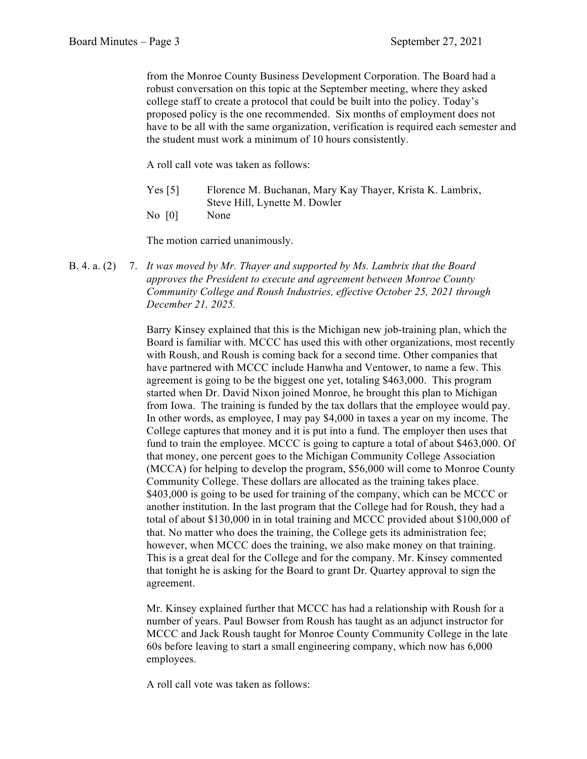from the Monroe County Business Development Corporation. The Board had a robust conversation on this topic at the September meeting, where they asked college staff to create a protocol that could be built into the policy. Today's proposed policy is the one recommended. Six months of employment does not have to be all with the same organization, verification is required each semester and the student must work a minimum of 10 hours consistently.

A roll call vote was taken as follows:

- Yes [5] Florence M. Buchanan, Mary Kay Thayer, Krista K. Lambrix, Steve Hill, Lynette M. Dowler
- No [0] None

The motion carried unanimously.

B. 4. a. (2) 7. *It was moved by Mr. Thayer and supported by Ms. Lambrix that the Board approves the President to execute and agreement between Monroe County Community College and Roush Industries, effective October 25, 2021 through December 21, 2025.*

> Barry Kinsey explained that this is the Michigan new job-training plan, which the Board is familiar with. MCCC has used this with other organizations, most recently with Roush, and Roush is coming back for a second time. Other companies that have partnered with MCCC include Hanwha and Ventower, to name a few. This agreement is going to be the biggest one yet, totaling \$463,000. This program started when Dr. David Nixon joined Monroe, he brought this plan to Michigan from Iowa. The training is funded by the tax dollars that the employee would pay. In other words, as employee, I may pay \$4,000 in taxes a year on my income. The College captures that money and it is put into a fund. The employer then uses that fund to train the employee. MCCC is going to capture a total of about \$463,000. Of that money, one percent goes to the Michigan Community College Association (MCCA) for helping to develop the program, \$56,000 will come to Monroe County Community College. These dollars are allocated as the training takes place. \$403,000 is going to be used for training of the company, which can be MCCC or another institution. In the last program that the College had for Roush, they had a total of about \$130,000 in in total training and MCCC provided about \$100,000 of that. No matter who does the training, the College gets its administration fee; however, when MCCC does the training, we also make money on that training. This is a great deal for the College and for the company. Mr. Kinsey commented that tonight he is asking for the Board to grant Dr. Quartey approval to sign the agreement.

Mr. Kinsey explained further that MCCC has had a relationship with Roush for a number of years. Paul Bowser from Roush has taught as an adjunct instructor for MCCC and Jack Roush taught for Monroe County Community College in the late 60s before leaving to start a small engineering company, which now has 6,000 employees.

A roll call vote was taken as follows: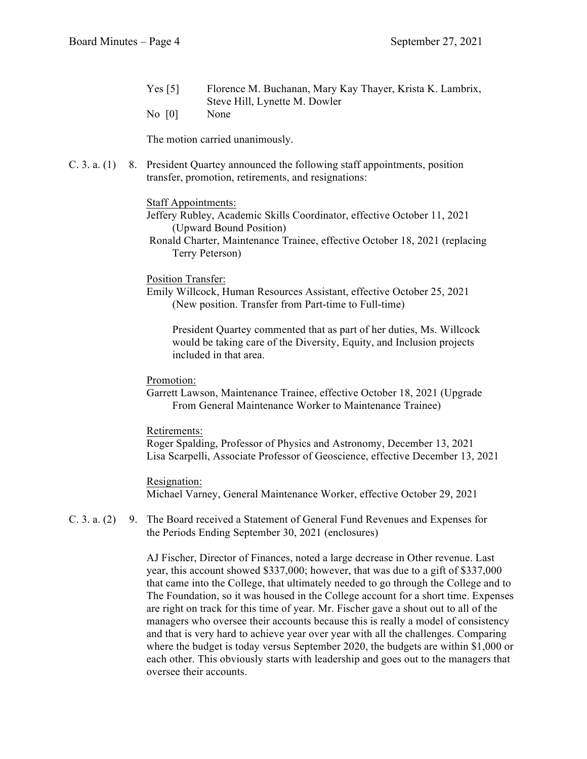- Yes [5] Florence M. Buchanan, Mary Kay Thayer, Krista K. Lambrix, Steve Hill, Lynette M. Dowler
- No [0] None

The motion carried unanimously.

C. 3. a. (1) 8. President Quartey announced the following staff appointments, position transfer, promotion, retirements, and resignations:

#### Staff Appointments:

- Jeffery Rubley, Academic Skills Coordinator, effective October 11, 2021 (Upward Bound Position)
- Ronald Charter, Maintenance Trainee, effective October 18, 2021 (replacing Terry Peterson)

### Position Transfer:

Emily Willcock, Human Resources Assistant, effective October 25, 2021 (New position. Transfer from Part-time to Full-time)

President Quartey commented that as part of her duties, Ms. Willcock would be taking care of the Diversity, Equity, and Inclusion projects included in that area.

### Promotion:

Garrett Lawson, Maintenance Trainee, effective October 18, 2021 (Upgrade From General Maintenance Worker to Maintenance Trainee)

#### Retirements:

Roger Spalding, Professor of Physics and Astronomy, December 13, 2021 Lisa Scarpelli, Associate Professor of Geoscience, effective December 13, 2021

#### Resignation:

Michael Varney, General Maintenance Worker, effective October 29, 2021

C. 3. a. (2) 9. The Board received a Statement of General Fund Revenues and Expenses for the Periods Ending September 30, 2021 (enclosures)

> AJ Fischer, Director of Finances, noted a large decrease in Other revenue. Last year, this account showed \$337,000; however, that was due to a gift of \$337,000 that came into the College, that ultimately needed to go through the College and to The Foundation, so it was housed in the College account for a short time. Expenses are right on track for this time of year. Mr. Fischer gave a shout out to all of the managers who oversee their accounts because this is really a model of consistency and that is very hard to achieve year over year with all the challenges. Comparing where the budget is today versus September 2020, the budgets are within \$1,000 or each other. This obviously starts with leadership and goes out to the managers that oversee their accounts.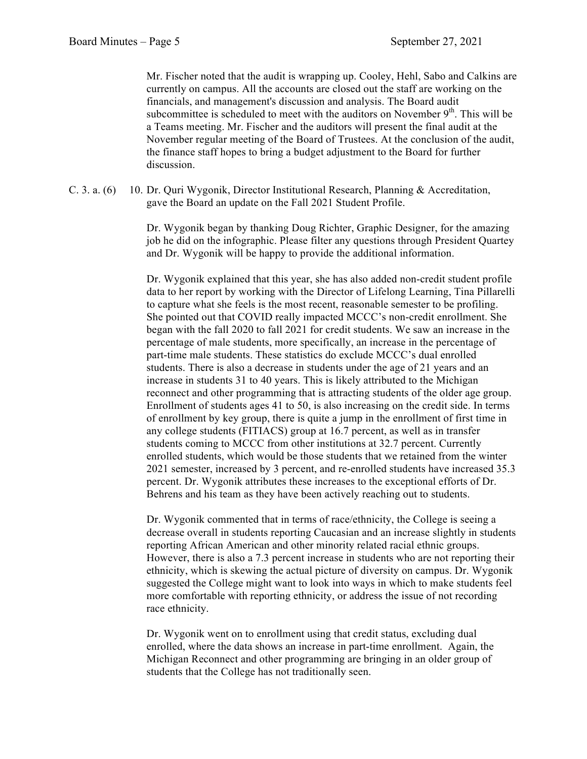Mr. Fischer noted that the audit is wrapping up. Cooley, Hehl, Sabo and Calkins are currently on campus. All the accounts are closed out the staff are working on the financials, and management's discussion and analysis. The Board audit subcommittee is scheduled to meet with the auditors on November  $9<sup>th</sup>$ . This will be a Teams meeting. Mr. Fischer and the auditors will present the final audit at the November regular meeting of the Board of Trustees. At the conclusion of the audit, the finance staff hopes to bring a budget adjustment to the Board for further discussion.

C. 3. a. (6) 10. Dr. Quri Wygonik, Director Institutional Research, Planning & Accreditation, gave the Board an update on the Fall 2021 Student Profile.

> Dr. Wygonik began by thanking Doug Richter, Graphic Designer, for the amazing job he did on the infographic. Please filter any questions through President Quartey and Dr. Wygonik will be happy to provide the additional information.

> Dr. Wygonik explained that this year, she has also added non-credit student profile data to her report by working with the Director of Lifelong Learning, Tina Pillarelli to capture what she feels is the most recent, reasonable semester to be profiling. She pointed out that COVID really impacted MCCC's non-credit enrollment. She began with the fall 2020 to fall 2021 for credit students. We saw an increase in the percentage of male students, more specifically, an increase in the percentage of part-time male students. These statistics do exclude MCCC's dual enrolled students. There is also a decrease in students under the age of 21 years and an increase in students 31 to 40 years. This is likely attributed to the Michigan reconnect and other programming that is attracting students of the older age group. Enrollment of students ages 41 to 50, is also increasing on the credit side. In terms of enrollment by key group, there is quite a jump in the enrollment of first time in any college students (FITIACS) group at 16.7 percent, as well as in transfer students coming to MCCC from other institutions at 32.7 percent. Currently enrolled students, which would be those students that we retained from the winter 2021 semester, increased by 3 percent, and re-enrolled students have increased 35.3 percent. Dr. Wygonik attributes these increases to the exceptional efforts of Dr. Behrens and his team as they have been actively reaching out to students.

> Dr. Wygonik commented that in terms of race/ethnicity, the College is seeing a decrease overall in students reporting Caucasian and an increase slightly in students reporting African American and other minority related racial ethnic groups. However, there is also a 7.3 percent increase in students who are not reporting their ethnicity, which is skewing the actual picture of diversity on campus. Dr. Wygonik suggested the College might want to look into ways in which to make students feel more comfortable with reporting ethnicity, or address the issue of not recording race ethnicity.

Dr. Wygonik went on to enrollment using that credit status, excluding dual enrolled, where the data shows an increase in part-time enrollment. Again, the Michigan Reconnect and other programming are bringing in an older group of students that the College has not traditionally seen.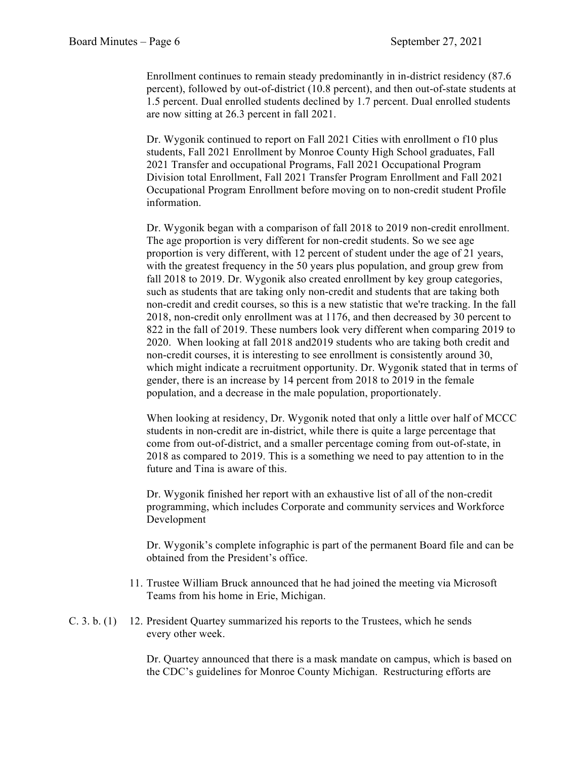Enrollment continues to remain steady predominantly in in-district residency (87.6 percent), followed by out-of-district (10.8 percent), and then out-of-state students at 1.5 percent. Dual enrolled students declined by 1.7 percent. Dual enrolled students are now sitting at 26.3 percent in fall 2021.

Dr. Wygonik continued to report on Fall 2021 Cities with enrollment o f10 plus students, Fall 2021 Enrollment by Monroe County High School graduates, Fall 2021 Transfer and occupational Programs, Fall 2021 Occupational Program Division total Enrollment, Fall 2021 Transfer Program Enrollment and Fall 2021 Occupational Program Enrollment before moving on to non-credit student Profile information.

Dr. Wygonik began with a comparison of fall 2018 to 2019 non-credit enrollment. The age proportion is very different for non-credit students. So we see age proportion is very different, with 12 percent of student under the age of 21 years, with the greatest frequency in the 50 years plus population, and group grew from fall 2018 to 2019. Dr. Wygonik also created enrollment by key group categories, such as students that are taking only non-credit and students that are taking both non-credit and credit courses, so this is a new statistic that we're tracking. In the fall 2018, non-credit only enrollment was at 1176, and then decreased by 30 percent to 822 in the fall of 2019. These numbers look very different when comparing 2019 to 2020. When looking at fall 2018 and2019 students who are taking both credit and non-credit courses, it is interesting to see enrollment is consistently around 30, which might indicate a recruitment opportunity. Dr. Wygonik stated that in terms of gender, there is an increase by 14 percent from 2018 to 2019 in the female population, and a decrease in the male population, proportionately.

When looking at residency, Dr. Wygonik noted that only a little over half of MCCC students in non-credit are in-district, while there is quite a large percentage that come from out-of-district, and a smaller percentage coming from out-of-state, in 2018 as compared to 2019. This is a something we need to pay attention to in the future and Tina is aware of this.

Dr. Wygonik finished her report with an exhaustive list of all of the non-credit programming, which includes Corporate and community services and Workforce Development

Dr. Wygonik's complete infographic is part of the permanent Board file and can be obtained from the President's office.

- 11. Trustee William Bruck announced that he had joined the meeting via Microsoft Teams from his home in Erie, Michigan.
- C. 3. b. (1) 12. President Quartey summarized his reports to the Trustees, which he sends every other week.

Dr. Quartey announced that there is a mask mandate on campus, which is based on the CDC's guidelines for Monroe County Michigan. Restructuring efforts are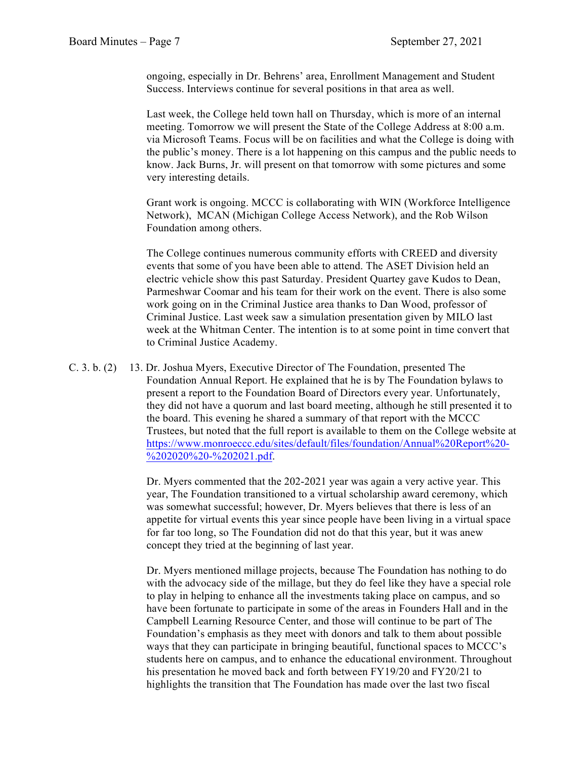ongoing, especially in Dr. Behrens' area, Enrollment Management and Student Success. Interviews continue for several positions in that area as well.

Last week, the College held town hall on Thursday, which is more of an internal meeting. Tomorrow we will present the State of the College Address at 8:00 a.m. via Microsoft Teams. Focus will be on facilities and what the College is doing with the public's money. There is a lot happening on this campus and the public needs to know. Jack Burns, Jr. will present on that tomorrow with some pictures and some very interesting details.

Grant work is ongoing. MCCC is collaborating with WIN (Workforce Intelligence Network), MCAN (Michigan College Access Network), and the Rob Wilson Foundation among others.

The College continues numerous community efforts with CREED and diversity events that some of you have been able to attend. The ASET Division held an electric vehicle show this past Saturday. President Quartey gave Kudos to Dean, Parmeshwar Coomar and his team for their work on the event. There is also some work going on in the Criminal Justice area thanks to Dan Wood, professor of Criminal Justice. Last week saw a simulation presentation given by MILO last week at the Whitman Center. The intention is to at some point in time convert that to Criminal Justice Academy.

C. 3. b. (2) 13. Dr. Joshua Myers, Executive Director of The Foundation, presented The Foundation Annual Report. He explained that he is by The Foundation bylaws to present a report to the Foundation Board of Directors every year. Unfortunately, they did not have a quorum and last board meeting, although he still presented it to the board. This evening he shared a summary of that report with the MCCC Trustees, but noted that the full report is available to them on the College website at https://www.monroeccc.edu/sites/default/files/foundation/Annual%20Report%20- %202020%20-%202021.pdf.

> Dr. Myers commented that the 202-2021 year was again a very active year. This year, The Foundation transitioned to a virtual scholarship award ceremony, which was somewhat successful; however, Dr. Myers believes that there is less of an appetite for virtual events this year since people have been living in a virtual space for far too long, so The Foundation did not do that this year, but it was anew concept they tried at the beginning of last year.

> Dr. Myers mentioned millage projects, because The Foundation has nothing to do with the advocacy side of the millage, but they do feel like they have a special role to play in helping to enhance all the investments taking place on campus, and so have been fortunate to participate in some of the areas in Founders Hall and in the Campbell Learning Resource Center, and those will continue to be part of The Foundation's emphasis as they meet with donors and talk to them about possible ways that they can participate in bringing beautiful, functional spaces to MCCC's students here on campus, and to enhance the educational environment. Throughout his presentation he moved back and forth between FY19/20 and FY20/21 to highlights the transition that The Foundation has made over the last two fiscal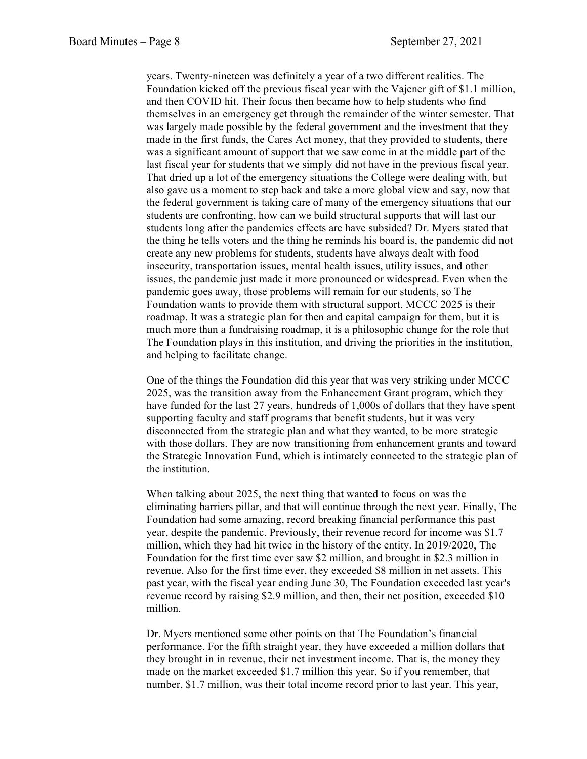years. Twenty-nineteen was definitely a year of a two different realities. The Foundation kicked off the previous fiscal year with the Vajcner gift of \$1.1 million, and then COVID hit. Their focus then became how to help students who find themselves in an emergency get through the remainder of the winter semester. That was largely made possible by the federal government and the investment that they made in the first funds, the Cares Act money, that they provided to students, there was a significant amount of support that we saw come in at the middle part of the last fiscal year for students that we simply did not have in the previous fiscal year. That dried up a lot of the emergency situations the College were dealing with, but also gave us a moment to step back and take a more global view and say, now that the federal government is taking care of many of the emergency situations that our students are confronting, how can we build structural supports that will last our students long after the pandemics effects are have subsided? Dr. Myers stated that the thing he tells voters and the thing he reminds his board is, the pandemic did not create any new problems for students, students have always dealt with food insecurity, transportation issues, mental health issues, utility issues, and other issues, the pandemic just made it more pronounced or widespread. Even when the pandemic goes away, those problems will remain for our students, so The Foundation wants to provide them with structural support. MCCC 2025 is their roadmap. It was a strategic plan for then and capital campaign for them, but it is much more than a fundraising roadmap, it is a philosophic change for the role that The Foundation plays in this institution, and driving the priorities in the institution, and helping to facilitate change.

One of the things the Foundation did this year that was very striking under MCCC 2025, was the transition away from the Enhancement Grant program, which they have funded for the last 27 years, hundreds of 1,000s of dollars that they have spent supporting faculty and staff programs that benefit students, but it was very disconnected from the strategic plan and what they wanted, to be more strategic with those dollars. They are now transitioning from enhancement grants and toward the Strategic Innovation Fund, which is intimately connected to the strategic plan of the institution.

When talking about 2025, the next thing that wanted to focus on was the eliminating barriers pillar, and that will continue through the next year. Finally, The Foundation had some amazing, record breaking financial performance this past year, despite the pandemic. Previously, their revenue record for income was \$1.7 million, which they had hit twice in the history of the entity. In 2019/2020, The Foundation for the first time ever saw \$2 million, and brought in \$2.3 million in revenue. Also for the first time ever, they exceeded \$8 million in net assets. This past year, with the fiscal year ending June 30, The Foundation exceeded last year's revenue record by raising \$2.9 million, and then, their net position, exceeded \$10 million.

Dr. Myers mentioned some other points on that The Foundation's financial performance. For the fifth straight year, they have exceeded a million dollars that they brought in in revenue, their net investment income. That is, the money they made on the market exceeded \$1.7 million this year. So if you remember, that number, \$1.7 million, was their total income record prior to last year. This year,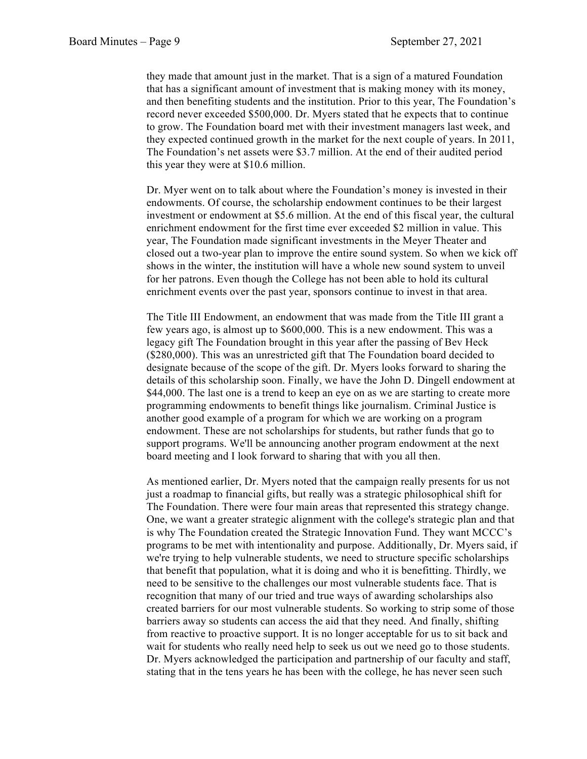they made that amount just in the market. That is a sign of a matured Foundation that has a significant amount of investment that is making money with its money, and then benefiting students and the institution. Prior to this year, The Foundation's record never exceeded \$500,000. Dr. Myers stated that he expects that to continue to grow. The Foundation board met with their investment managers last week, and they expected continued growth in the market for the next couple of years. In 2011, The Foundation's net assets were \$3.7 million. At the end of their audited period this year they were at \$10.6 million.

Dr. Myer went on to talk about where the Foundation's money is invested in their endowments. Of course, the scholarship endowment continues to be their largest investment or endowment at \$5.6 million. At the end of this fiscal year, the cultural enrichment endowment for the first time ever exceeded \$2 million in value. This year, The Foundation made significant investments in the Meyer Theater and closed out a two-year plan to improve the entire sound system. So when we kick off shows in the winter, the institution will have a whole new sound system to unveil for her patrons. Even though the College has not been able to hold its cultural enrichment events over the past year, sponsors continue to invest in that area.

The Title III Endowment, an endowment that was made from the Title III grant a few years ago, is almost up to \$600,000. This is a new endowment. This was a legacy gift The Foundation brought in this year after the passing of Bev Heck (\$280,000). This was an unrestricted gift that The Foundation board decided to designate because of the scope of the gift. Dr. Myers looks forward to sharing the details of this scholarship soon. Finally, we have the John D. Dingell endowment at \$44,000. The last one is a trend to keep an eye on as we are starting to create more programming endowments to benefit things like journalism. Criminal Justice is another good example of a program for which we are working on a program endowment. These are not scholarships for students, but rather funds that go to support programs. We'll be announcing another program endowment at the next board meeting and I look forward to sharing that with you all then.

As mentioned earlier, Dr. Myers noted that the campaign really presents for us not just a roadmap to financial gifts, but really was a strategic philosophical shift for The Foundation. There were four main areas that represented this strategy change. One, we want a greater strategic alignment with the college's strategic plan and that is why The Foundation created the Strategic Innovation Fund. They want MCCC's programs to be met with intentionality and purpose. Additionally, Dr. Myers said, if we're trying to help vulnerable students, we need to structure specific scholarships that benefit that population, what it is doing and who it is benefitting. Thirdly, we need to be sensitive to the challenges our most vulnerable students face. That is recognition that many of our tried and true ways of awarding scholarships also created barriers for our most vulnerable students. So working to strip some of those barriers away so students can access the aid that they need. And finally, shifting from reactive to proactive support. It is no longer acceptable for us to sit back and wait for students who really need help to seek us out we need go to those students. Dr. Myers acknowledged the participation and partnership of our faculty and staff, stating that in the tens years he has been with the college, he has never seen such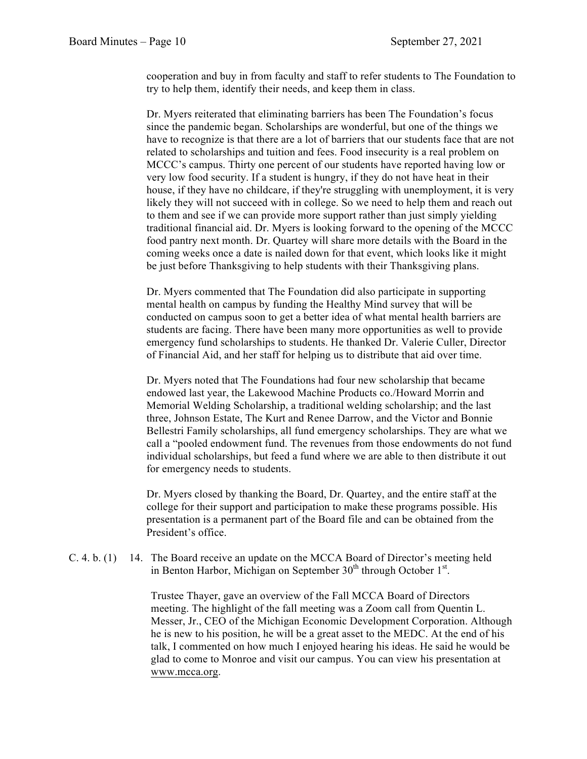cooperation and buy in from faculty and staff to refer students to The Foundation to try to help them, identify their needs, and keep them in class.

Dr. Myers reiterated that eliminating barriers has been The Foundation's focus since the pandemic began. Scholarships are wonderful, but one of the things we have to recognize is that there are a lot of barriers that our students face that are not related to scholarships and tuition and fees. Food insecurity is a real problem on MCCC's campus. Thirty one percent of our students have reported having low or very low food security. If a student is hungry, if they do not have heat in their house, if they have no childcare, if they're struggling with unemployment, it is very likely they will not succeed with in college. So we need to help them and reach out to them and see if we can provide more support rather than just simply yielding traditional financial aid. Dr. Myers is looking forward to the opening of the MCCC food pantry next month. Dr. Quartey will share more details with the Board in the coming weeks once a date is nailed down for that event, which looks like it might be just before Thanksgiving to help students with their Thanksgiving plans.

Dr. Myers commented that The Foundation did also participate in supporting mental health on campus by funding the Healthy Mind survey that will be conducted on campus soon to get a better idea of what mental health barriers are students are facing. There have been many more opportunities as well to provide emergency fund scholarships to students. He thanked Dr. Valerie Culler, Director of Financial Aid, and her staff for helping us to distribute that aid over time.

Dr. Myers noted that The Foundations had four new scholarship that became endowed last year, the Lakewood Machine Products co./Howard Morrin and Memorial Welding Scholarship, a traditional welding scholarship; and the last three, Johnson Estate, The Kurt and Renee Darrow, and the Victor and Bonnie Bellestri Family scholarships, all fund emergency scholarships. They are what we call a "pooled endowment fund. The revenues from those endowments do not fund individual scholarships, but feed a fund where we are able to then distribute it out for emergency needs to students.

Dr. Myers closed by thanking the Board, Dr. Quartey, and the entire staff at the college for their support and participation to make these programs possible. His presentation is a permanent part of the Board file and can be obtained from the President's office.

C. 4. b. (1) 14. The Board receive an update on the MCCA Board of Director's meeting held in Benton Harbor, Michigan on September  $30<sup>th</sup>$  through October  $1<sup>st</sup>$ .

> Trustee Thayer, gave an overview of the Fall MCCA Board of Directors meeting. The highlight of the fall meeting was a Zoom call from Quentin L. Messer, Jr., CEO of the Michigan Economic Development Corporation. Although he is new to his position, he will be a great asset to the MEDC. At the end of his talk, I commented on how much I enjoyed hearing his ideas. He said he would be glad to come to Monroe and visit our campus. You can view his presentation at www.mcca.org.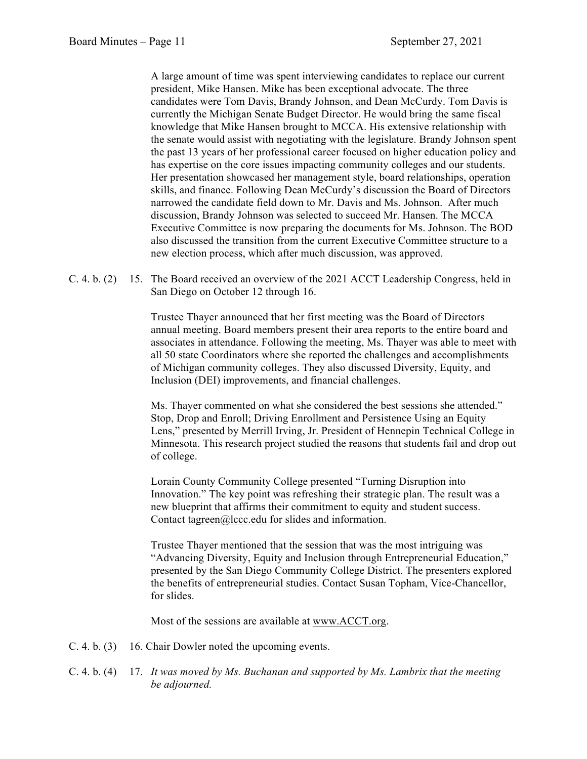A large amount of time was spent interviewing candidates to replace our current president, Mike Hansen. Mike has been exceptional advocate. The three candidates were Tom Davis, Brandy Johnson, and Dean McCurdy. Tom Davis is currently the Michigan Senate Budget Director. He would bring the same fiscal knowledge that Mike Hansen brought to MCCA. His extensive relationship with the senate would assist with negotiating with the legislature. Brandy Johnson spent the past 13 years of her professional career focused on higher education policy and has expertise on the core issues impacting community colleges and our students. Her presentation showcased her management style, board relationships, operation skills, and finance. Following Dean McCurdy's discussion the Board of Directors narrowed the candidate field down to Mr. Davis and Ms. Johnson. After much discussion, Brandy Johnson was selected to succeed Mr. Hansen. The MCCA Executive Committee is now preparing the documents for Ms. Johnson. The BOD also discussed the transition from the current Executive Committee structure to a new election process, which after much discussion, was approved.

C. 4. b. (2) 15. The Board received an overview of the 2021 ACCT Leadership Congress, held in San Diego on October 12 through 16.

> Trustee Thayer announced that her first meeting was the Board of Directors annual meeting. Board members present their area reports to the entire board and associates in attendance. Following the meeting, Ms. Thayer was able to meet with all 50 state Coordinators where she reported the challenges and accomplishments of Michigan community colleges. They also discussed Diversity, Equity, and Inclusion (DEI) improvements, and financial challenges.

> Ms. Thayer commented on what she considered the best sessions she attended." Stop, Drop and Enroll; Driving Enrollment and Persistence Using an Equity Lens," presented by Merrill Irving, Jr. President of Hennepin Technical College in Minnesota. This research project studied the reasons that students fail and drop out of college.

Lorain County Community College presented "Turning Disruption into Innovation." The key point was refreshing their strategic plan. The result was a new blueprint that affirms their commitment to equity and student success. Contact tagreen@lccc.edu for slides and information.

Trustee Thayer mentioned that the session that was the most intriguing was "Advancing Diversity, Equity and Inclusion through Entrepreneurial Education," presented by the San Diego Community College District. The presenters explored the benefits of entrepreneurial studies. Contact Susan Topham, Vice-Chancellor, for slides.

Most of the sessions are available at www.ACCT.org.

- C. 4. b. (3) 16. Chair Dowler noted the upcoming events.
- C. 4. b. (4) 17. *It was moved by Ms. Buchanan and supported by Ms. Lambrix that the meeting be adjourned.*